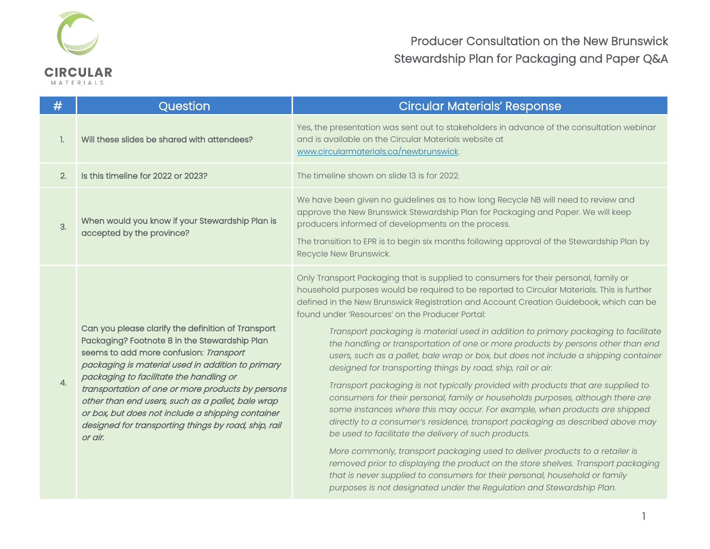

| #                | Question                                                                                                                                                                                                                                                                                                                                                                                                                                                                        | <b>Circular Materials' Response</b>                                                                                                                                                                                                                                                                                                                                                                                                                                                                                                                                                                                                                                                                                                                                                                                                                                                                                                                                                                                                                                                                                                                                                                                                                                                                                                                                                             |
|------------------|---------------------------------------------------------------------------------------------------------------------------------------------------------------------------------------------------------------------------------------------------------------------------------------------------------------------------------------------------------------------------------------------------------------------------------------------------------------------------------|-------------------------------------------------------------------------------------------------------------------------------------------------------------------------------------------------------------------------------------------------------------------------------------------------------------------------------------------------------------------------------------------------------------------------------------------------------------------------------------------------------------------------------------------------------------------------------------------------------------------------------------------------------------------------------------------------------------------------------------------------------------------------------------------------------------------------------------------------------------------------------------------------------------------------------------------------------------------------------------------------------------------------------------------------------------------------------------------------------------------------------------------------------------------------------------------------------------------------------------------------------------------------------------------------------------------------------------------------------------------------------------------------|
|                  | Will these slides be shared with attendees?                                                                                                                                                                                                                                                                                                                                                                                                                                     | Yes, the presentation was sent out to stakeholders in advance of the consultation webinar<br>and is available on the Circular Materials website at<br>www.circularmaterials.ca/newbrunswick.                                                                                                                                                                                                                                                                                                                                                                                                                                                                                                                                                                                                                                                                                                                                                                                                                                                                                                                                                                                                                                                                                                                                                                                                    |
| 2.               | Is this timeline for 2022 or 2023?                                                                                                                                                                                                                                                                                                                                                                                                                                              | The timeline shown on slide 13 is for 2022.                                                                                                                                                                                                                                                                                                                                                                                                                                                                                                                                                                                                                                                                                                                                                                                                                                                                                                                                                                                                                                                                                                                                                                                                                                                                                                                                                     |
| 3.               | When would you know if your Stewardship Plan is<br>accepted by the province?                                                                                                                                                                                                                                                                                                                                                                                                    | We have been given no guidelines as to how long Recycle NB will need to review and<br>approve the New Brunswick Stewardship Plan for Packaging and Paper. We will keep<br>producers informed of developments on the process.<br>The transition to EPR is to begin six months following approval of the Stewardship Plan by<br>Recycle New Brunswick.                                                                                                                                                                                                                                                                                                                                                                                                                                                                                                                                                                                                                                                                                                                                                                                                                                                                                                                                                                                                                                            |
| $\overline{4}$ . | Can you please clarify the definition of Transport<br>Packaging? Footnote 8 in the Stewardship Plan<br>seems to add more confusion: Transport<br>packaging is material used in addition to primary<br>packaging to facilitate the handling or<br>transportation of one or more products by persons<br>other than end users, such as a pallet, bale wrap<br>or box, but does not include a shipping container<br>designed for transporting things by road, ship, rail<br>or air. | Only Transport Packaging that is supplied to consumers for their personal, family or<br>household purposes would be required to be reported to Circular Materials. This is further<br>defined in the New Brunswick Registration and Account Creation Guidebook, which can be<br>found under 'Resources' on the Producer Portal:<br>Transport packaging is material used in addition to primary packaging to facilitate<br>the handling or transportation of one or more products by persons other than end<br>users, such as a pallet, bale wrap or box, but does not include a shipping container<br>designed for transporting things by road, ship, rail or air.<br>Transport packaging is not typically provided with products that are supplied to<br>consumers for their personal, family or households purposes, although there are<br>some instances where this may occur. For example, when products are shipped<br>directly to a consumer's residence, transport packaging as described above may<br>be used to facilitate the delivery of such products.<br>More commonly, transport packaging used to deliver products to a retailer is<br>removed prior to displaying the product on the store shelves. Transport packaging<br>that is never supplied to consumers for their personal, household or family<br>purposes is not designated under the Regulation and Stewardship Plan. |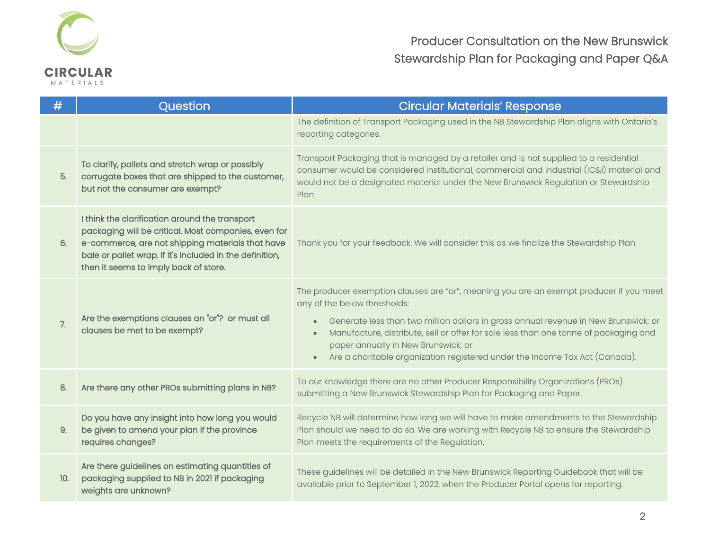

| #   | Question                                                                                                                                                                                                                                                        | <b>Circular Materials' Response</b>                                                                                                                                                                                                                                                                                                                                                                                                       |
|-----|-----------------------------------------------------------------------------------------------------------------------------------------------------------------------------------------------------------------------------------------------------------------|-------------------------------------------------------------------------------------------------------------------------------------------------------------------------------------------------------------------------------------------------------------------------------------------------------------------------------------------------------------------------------------------------------------------------------------------|
|     |                                                                                                                                                                                                                                                                 | The definition of Transport Packaging used in the NB Stewardship Plan aligns with Ontario's<br>reporting categories.                                                                                                                                                                                                                                                                                                                      |
| 5.  | To clarify, pallets and stretch wrap or possibly<br>corrugate boxes that are shipped to the customer,<br>but not the consumer are exempt?                                                                                                                       | Transport Packaging that is managed by a retailer and is not supplied to a residential<br>consumer would be considered institutional, commercial and industrial (IC&I) material and<br>would not be a designated material under the New Brunswick Regulation or Stewardship<br>Plan.                                                                                                                                                      |
| 6.  | I think the clarification around the transport<br>packaging will be critical. Most companies, even for<br>e-commerce, are not shipping materials that have<br>bale or pallet wrap. If it's included in the definition,<br>then it seems to imply back of store. | Thank you for your feedback. We will consider this as we finalize the Stewardship Plan.                                                                                                                                                                                                                                                                                                                                                   |
| 7.  | Are the exemptions clauses an "or"? or must all<br>clauses be met to be exempt?                                                                                                                                                                                 | The producer exemption clauses are "or", meaning you are an exempt producer if you meet<br>any of the below thresholds:<br>Generate less than two million dollars in gross annual revenue in New Brunswick; or<br>$\bullet$<br>Manufacture, distribute, sell or offer for sale less than one tonne of packaging and<br>paper annually in New Brunswick; or<br>Are a charitable organization registered under the Income Tax Act (Canada). |
| 8.  | Are there any other PROs submitting plans in NB?                                                                                                                                                                                                                | To our knowledge there are no other Producer Responsibility Organizations (PROs)<br>submitting a New Brunswick Stewardship Plan for Packaging and Paper.                                                                                                                                                                                                                                                                                  |
| 9.  | Do you have any insight into how long you would<br>be given to amend your plan if the province<br>requires changes?                                                                                                                                             | Recycle NB will determine how long we will have to make amendments to the Stewardship<br>Plan should we need to do so. We are working with Recycle NB to ensure the Stewardship<br>Plan meets the requirements of the Regulation.                                                                                                                                                                                                         |
| 10. | Are there guidelines on estimating quantities of<br>packaging supplied to NB in 2021 if packaging<br>weights are unknown?                                                                                                                                       | These guidelines will be detailed in the New Brunswick Reporting Guidebook that will be<br>available prior to September 1, 2022, when the Producer Portal opens for reporting.                                                                                                                                                                                                                                                            |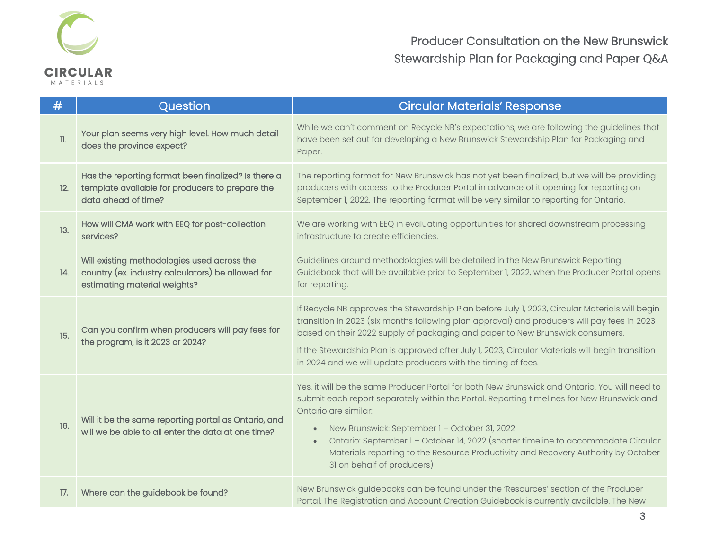

| #       | Question                                                                                                                         | <b>Circular Materials' Response</b>                                                                                                                                                                                                                                                                                                                                                                                                                                                                     |
|---------|----------------------------------------------------------------------------------------------------------------------------------|---------------------------------------------------------------------------------------------------------------------------------------------------------------------------------------------------------------------------------------------------------------------------------------------------------------------------------------------------------------------------------------------------------------------------------------------------------------------------------------------------------|
| $\Pi$ . | Your plan seems very high level. How much detail<br>does the province expect?                                                    | While we can't comment on Recycle NB's expectations, we are following the guidelines that<br>have been set out for developing a New Brunswick Stewardship Plan for Packaging and<br>Paper.                                                                                                                                                                                                                                                                                                              |
| 12.     | Has the reporting format been finalized? Is there a<br>template available for producers to prepare the<br>data ahead of time?    | The reporting format for New Brunswick has not yet been finalized, but we will be providing<br>producers with access to the Producer Portal in advance of it opening for reporting on<br>September 1, 2022. The reporting format will be very similar to reporting for Ontario.                                                                                                                                                                                                                         |
| 13.     | How will CMA work with EEQ for post-collection<br>services?                                                                      | We are working with EEQ in evaluating opportunities for shared downstream processing<br>infrastructure to create efficiencies.                                                                                                                                                                                                                                                                                                                                                                          |
| 14.     | Will existing methodologies used across the<br>country (ex. industry calculators) be allowed for<br>estimating material weights? | Guidelines around methodologies will be detailed in the New Brunswick Reporting<br>Guidebook that will be available prior to September 1, 2022, when the Producer Portal opens<br>for reporting.                                                                                                                                                                                                                                                                                                        |
| 15.     | Can you confirm when producers will pay fees for<br>the program, is it 2023 or 2024?                                             | If Recycle NB approves the Stewardship Plan before July 1, 2023, Circular Materials will begin<br>transition in 2023 (six months following plan approval) and producers will pay fees in 2023<br>based on their 2022 supply of packaging and paper to New Brunswick consumers.<br>If the Stewardship Plan is approved after July 1, 2023, Circular Materials will begin transition<br>in 2024 and we will update producers with the timing of fees.                                                     |
| 16.     | Will it be the same reporting portal as Ontario, and<br>will we be able to all enter the data at one time?                       | Yes, it will be the same Producer Portal for both New Brunswick and Ontario. You will need to<br>submit each report separately within the Portal. Reporting timelines for New Brunswick and<br>Ontario are similar:<br>New Brunswick: September 1 - October 31, 2022<br>$\bullet$<br>Ontario: September 1 - October 14, 2022 (shorter timeline to accommodate Circular<br>$\bullet$<br>Materials reporting to the Resource Productivity and Recovery Authority by October<br>31 on behalf of producers) |
| 17.     | Where can the guidebook be found?                                                                                                | New Brunswick guidebooks can be found under the 'Resources' section of the Producer<br>Portal. The Registration and Account Creation Guidebook is currently available. The New                                                                                                                                                                                                                                                                                                                          |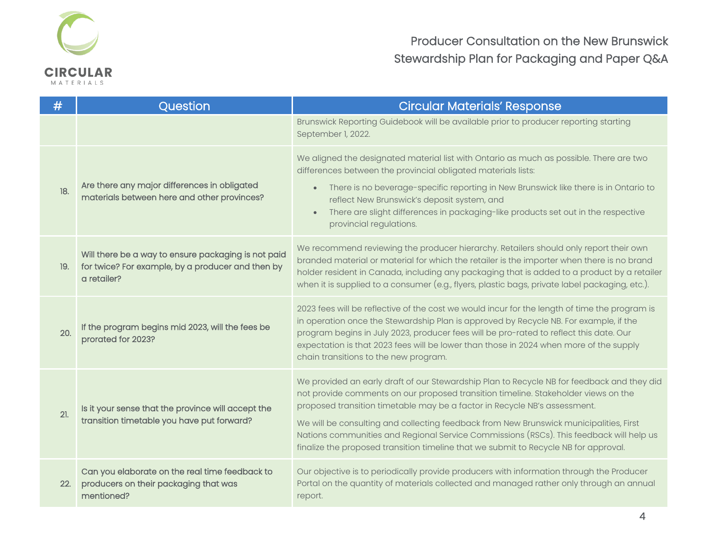

| #   | Question                                                                                                                | <b>Circular Materials' Response</b>                                                                                                                                                                                                                                                                                                                                                                                                                                                                                                        |
|-----|-------------------------------------------------------------------------------------------------------------------------|--------------------------------------------------------------------------------------------------------------------------------------------------------------------------------------------------------------------------------------------------------------------------------------------------------------------------------------------------------------------------------------------------------------------------------------------------------------------------------------------------------------------------------------------|
|     |                                                                                                                         | Brunswick Reporting Guidebook will be available prior to producer reporting starting<br>September 1, 2022.                                                                                                                                                                                                                                                                                                                                                                                                                                 |
| 18. | Are there any major differences in obligated<br>materials between here and other provinces?                             | We aligned the designated material list with Ontario as much as possible. There are two<br>differences between the provincial obligated materials lists:<br>There is no beverage-specific reporting in New Brunswick like there is in Ontario to<br>$\bullet$<br>reflect New Brunswick's deposit system, and<br>There are slight differences in packaging-like products set out in the respective<br>$\bullet$<br>provincial regulations.                                                                                                  |
| 19. | Will there be a way to ensure packaging is not paid<br>for twice? For example, by a producer and then by<br>a retailer? | We recommend reviewing the producer hierarchy. Retailers should only report their own<br>branded material or material for which the retailer is the importer when there is no brand<br>holder resident in Canada, including any packaging that is added to a product by a retailer<br>when it is supplied to a consumer (e.g., flyers, plastic bags, private label packaging, etc.).                                                                                                                                                       |
| 20. | If the program begins mid 2023, will the fees be<br>prorated for 2023?                                                  | 2023 fees will be reflective of the cost we would incur for the length of time the program is<br>in operation once the Stewardship Plan is approved by Recycle NB. For example, if the<br>program begins in July 2023, producer fees will be pro-rated to reflect this date. Our<br>expectation is that 2023 fees will be lower than those in 2024 when more of the supply<br>chain transitions to the new program.                                                                                                                        |
| 21. | Is it your sense that the province will accept the<br>transition timetable you have put forward?                        | We provided an early draft of our Stewardship Plan to Recycle NB for feedback and they did<br>not provide comments on our proposed transition timeline. Stakeholder views on the<br>proposed transition timetable may be a factor in Recycle NB's assessment.<br>We will be consulting and collecting feedback from New Brunswick municipalities, First<br>Nations communities and Regional Service Commissions (RSCs). This feedback will help us<br>finalize the proposed transition timeline that we submit to Recycle NB for approval. |
| 22. | Can you elaborate on the real time feedback to<br>producers on their packaging that was<br>mentioned?                   | Our objective is to periodically provide producers with information through the Producer<br>Portal on the quantity of materials collected and managed rather only through an annual<br>report.                                                                                                                                                                                                                                                                                                                                             |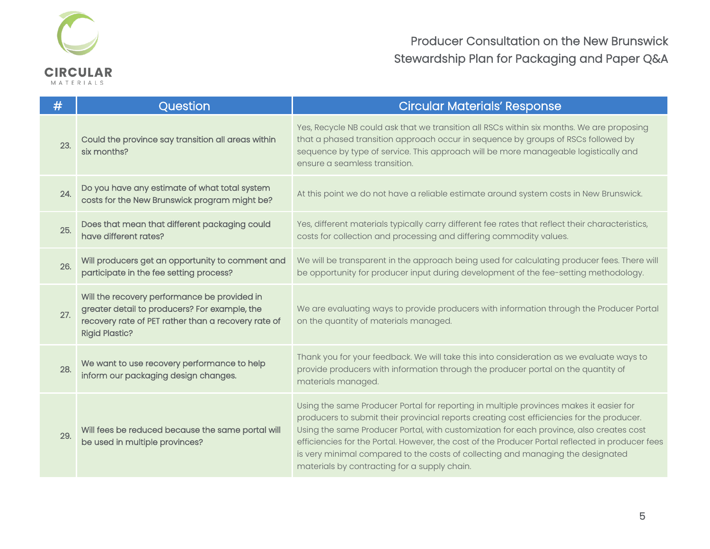

| #   | Question                                                                                                                                                                      | <b>Circular Materials' Response</b>                                                                                                                                                                                                                                                                                                                                                                                                                                                                                   |
|-----|-------------------------------------------------------------------------------------------------------------------------------------------------------------------------------|-----------------------------------------------------------------------------------------------------------------------------------------------------------------------------------------------------------------------------------------------------------------------------------------------------------------------------------------------------------------------------------------------------------------------------------------------------------------------------------------------------------------------|
| 23. | Could the province say transition all areas within<br>six months?                                                                                                             | Yes, Recycle NB could ask that we transition all RSCs within six months. We are proposing<br>that a phased transition approach occur in sequence by groups of RSCs followed by<br>sequence by type of service. This approach will be more manageable logistically and<br>ensure a seamless transition.                                                                                                                                                                                                                |
| 24. | Do you have any estimate of what total system<br>costs for the New Brunswick program might be?                                                                                | At this point we do not have a reliable estimate around system costs in New Brunswick.                                                                                                                                                                                                                                                                                                                                                                                                                                |
| 25. | Does that mean that different packaging could<br>have different rates?                                                                                                        | Yes, different materials typically carry different fee rates that reflect their characteristics,<br>costs for collection and processing and differing commodity values.                                                                                                                                                                                                                                                                                                                                               |
| 26. | Will producers get an opportunity to comment and<br>participate in the fee setting process?                                                                                   | We will be transparent in the approach being used for calculating producer fees. There will<br>be opportunity for producer input during development of the fee-setting methodology.                                                                                                                                                                                                                                                                                                                                   |
| 27. | Will the recovery performance be provided in<br>greater detail to producers? For example, the<br>recovery rate of PET rather than a recovery rate of<br><b>Rigid Plastic?</b> | We are evaluating ways to provide producers with information through the Producer Portal<br>on the quantity of materials managed.                                                                                                                                                                                                                                                                                                                                                                                     |
| 28. | We want to use recovery performance to help<br>inform our packaging design changes.                                                                                           | Thank you for your feedback. We will take this into consideration as we evaluate ways to<br>provide producers with information through the producer portal on the quantity of<br>materials managed.                                                                                                                                                                                                                                                                                                                   |
| 29. | Will fees be reduced because the same portal will<br>be used in multiple provinces?                                                                                           | Using the same Producer Portal for reporting in multiple provinces makes it easier for<br>producers to submit their provincial reports creating cost efficiencies for the producer.<br>Using the same Producer Portal, with customization for each province, also creates cost<br>efficiencies for the Portal. However, the cost of the Producer Portal reflected in producer fees<br>is very minimal compared to the costs of collecting and managing the designated<br>materials by contracting for a supply chain. |